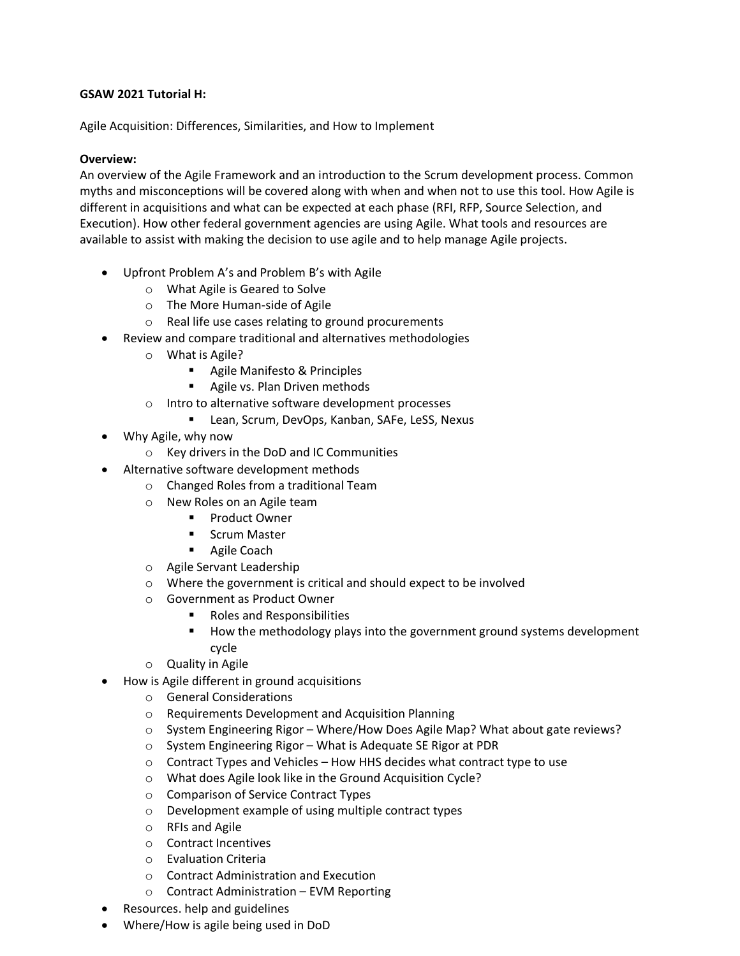# **GSAW 2021 Tutorial H:**

Agile Acquisition: Differences, Similarities, and How to Implement

## **Overview:**

An overview of the Agile Framework and an introduction to the Scrum development process. Common myths and misconceptions will be covered along with when and when not to use this tool. How Agile is different in acquisitions and what can be expected at each phase (RFI, RFP, Source Selection, and Execution). How other federal government agencies are using Agile. What tools and resources are available to assist with making the decision to use agile and to help manage Agile projects.

- Upfront Problem A's and Problem B's with Agile
	- o What Agile is Geared to Solve
	- o The More Human-side of Agile
	- o Real life use cases relating to ground procurements
- Review and compare traditional and alternatives methodologies
	- o What is Agile?
		- **Agile Manifesto & Principles**
		- **Agile vs. Plan Driven methods**
	- o Intro to alternative software development processes
		- **E** Lean, Scrum, DevOps, Kanban, SAFe, LeSS, Nexus
- Why Agile, why now
	- o Key drivers in the DoD and IC Communities
- Alternative software development methods
	- o Changed Roles from a traditional Team
	- o New Roles on an Agile team
		- **Product Owner**
		- **E** Scrum Master
		- **Agile Coach**
	- o Agile Servant Leadership
	- o Where the government is critical and should expect to be involved
	- o Government as Product Owner
		- Roles and Responsibilities
		- How the methodology plays into the government ground systems development cycle
	- o Quality in Agile
- How is Agile different in ground acquisitions
	- o General Considerations
	- o Requirements Development and Acquisition Planning
	- o System Engineering Rigor Where/How Does Agile Map? What about gate reviews?
	- o System Engineering Rigor What is Adequate SE Rigor at PDR
	- $\circ$  Contract Types and Vehicles How HHS decides what contract type to use
	- o What does Agile look like in the Ground Acquisition Cycle?
	- o Comparison of Service Contract Types
	- o Development example of using multiple contract types
	- o RFIs and Agile
	- o Contract Incentives
	- o Evaluation Criteria
	- o Contract Administration and Execution
	- o Contract Administration EVM Reporting
- Resources. help and guidelines
- Where/How is agile being used in DoD